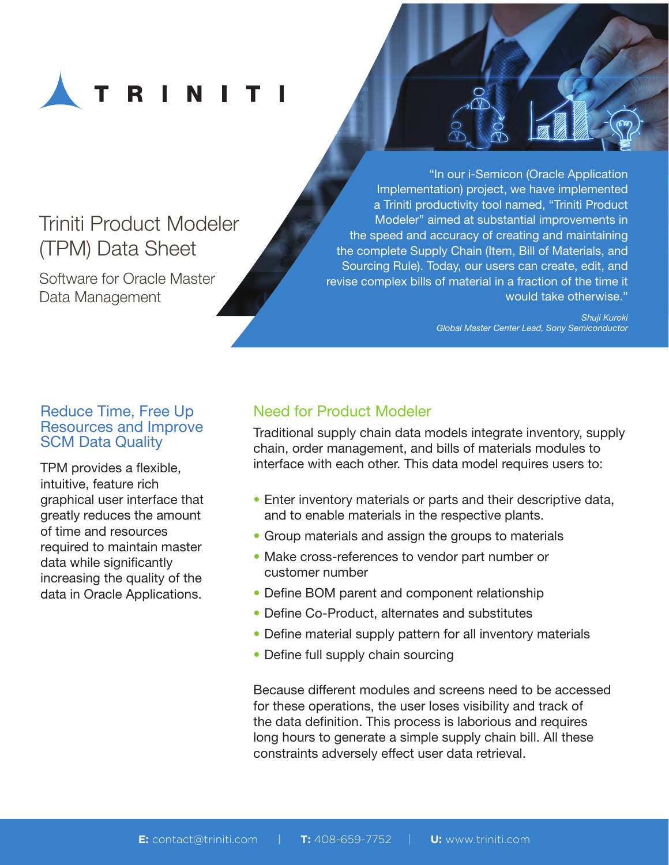

# Triniti Product Modeler (TPM) Data Sheet

Software for Oracle Master Data Management

"In our i-Semicon (Oracle Application Implementation) project, we have implemented a Triniti productivity tool named, "Triniti Product Modeler" aimed at substantial improvements in the speed and accuracy of creating and maintaining the complete Supply Chain (Item, Bill of Materials, and Sourcing Rule). Today, our users can create, edit, and revise complex bills of material in a fraction of the time it would take otherwise."

> *Shuji Kuroki Global Master Center Lead, Sony Semiconductor*

### Reduce Time, Free Up Resources and Improve SCM Data Quality

TPM provides a flexible, intuitive, feature rich graphical user interface that greatly reduces the amount of time and resources required to maintain master data while significantly increasing the quality of the data in Oracle Applications.

## Need for Product Modeler

Traditional supply chain data models integrate inventory, supply chain, order management, and bills of materials modules to interface with each other. This data model requires users to:

- Enter inventory materials or parts and their descriptive data, and to enable materials in the respective plants.
- Group materials and assign the groups to materials
- Make cross-references to vendor part number or customer number
- Define BOM parent and component relationship
- Define Co-Product, alternates and substitutes
- Define material supply pattern for all inventory materials
- Define full supply chain sourcing

Because different modules and screens need to be accessed for these operations, the user loses visibility and track of the data definition. This process is laborious and requires long hours to generate a simple supply chain bill. All these constraints adversely effect user data retrieval.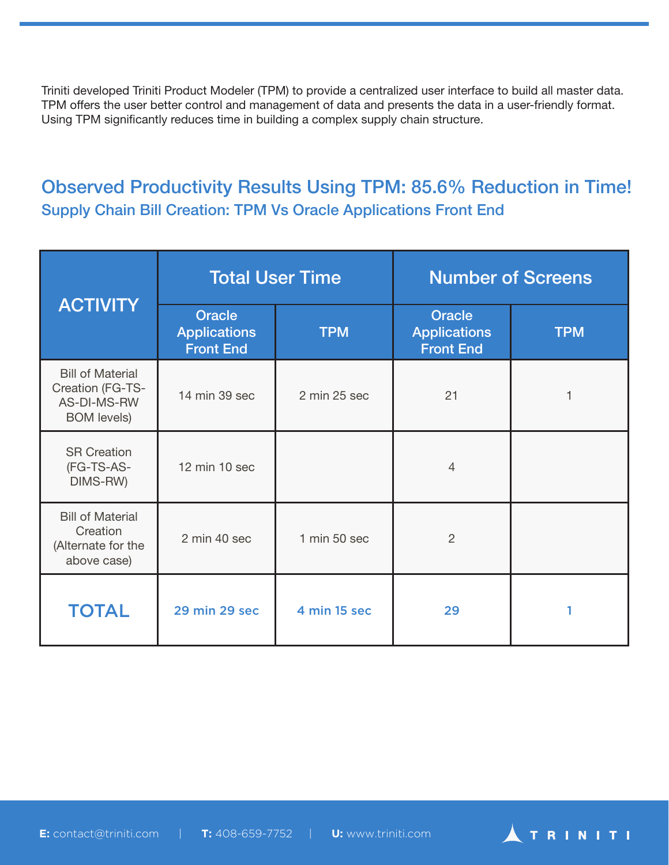Triniti developed Triniti Product Modeler (TPM) to provide a centralized user interface to build all master data. TPM offers the user better control and management of data and presents the data in a user-friendly format. Using TPM significantly reduces time in building a complex supply chain structure.

## Observed Productivity Results Using TPM: 85.6% Reduction in Time! Supply Chain Bill Creation: TPM Vs Oracle Applications Front End

| <b>ACTIVITY</b>                                                                  | <b>Total User Time</b>                                   |              | <b>Number of Screens</b>                                 |            |
|----------------------------------------------------------------------------------|----------------------------------------------------------|--------------|----------------------------------------------------------|------------|
|                                                                                  | <b>Oracle</b><br><b>Applications</b><br><b>Front End</b> | <b>TPM</b>   | <b>Oracle</b><br><b>Applications</b><br><b>Front End</b> | <b>TPM</b> |
| <b>Bill of Material</b><br>Creation (FG-TS-<br>AS-DI-MS-RW<br><b>BOM</b> levels) | 14 min 39 sec                                            | 2 min 25 sec | 21                                                       |            |
| <b>SR Creation</b><br>(FG-TS-AS-<br>DIMS-RW)                                     | 12 min 10 sec                                            |              | 4                                                        |            |
| <b>Bill of Material</b><br>Creation<br>(Alternate for the<br>above case)         | 2 min 40 sec                                             | 1 min 50 sec | $\overline{2}$                                           |            |
| <b>TOTAL</b>                                                                     | <b>29 min 29 sec</b>                                     | 4 min 15 sec | 29                                                       |            |

**ATRINITI** 

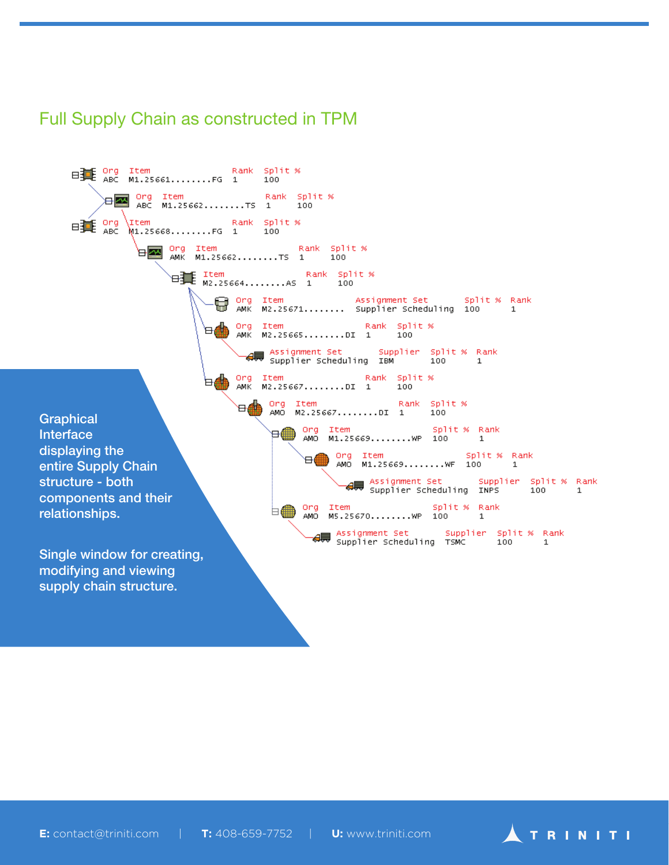## Full Supply Chain as constructed in TPM

EN Org Item Rank Spli<br>ABC M1.25661.......FG 1 100 Rank Split % 3 Drg Item Rank Split %<br>ABC M1.25662.......TS 1 100 Rank Split % ⊟冀 <mark>Org</mark> Item 100 M1.25668........FG 1 100 **EXAM** Org Item Rank Split %<br>AMK M1.25662........TS 1 100 Hall Item Rank Spl<br>E M2.25664........AS 1 100 Rank Split % Assignment Set 5plit % Rank Org Item G Org Item – Assignment Set – Split<br>U AMK M2.25671........ Supplier Scheduling 100  $\mathbf{1}$ `⊟∰ Org Item Rank Split % AMK M2.25665........DI 1 100 →<br>→ Assignment Set supplier Split % Rank<br>→ Supplier Scheduling IBM + 100 + 1 `⊨∯ Org Item Rank Split %<br>AMO M2.25667........DI 1 100 ⊞≞ **Graphical** Org Item Split % Rank **Interface** ⋴∰ <sup>1</sup> displaying the .<br>● Org Item split % Ram<br> AMO M1.25669........WF 100 1 Split % Rank entire Supply Chain → Assignment Set supplier split % Rank<br>→ Supplier Scheduling INPS = 100 = 1 structure - both components and their Ong Item Split % Rank 白冊 relationships.  $\mathbf{1}$ Single window for creating, modifying and viewing supply chain structure.

**E:** contact@triniti.com | **T:** 408-659-7752 | **U:** www.triniti.com

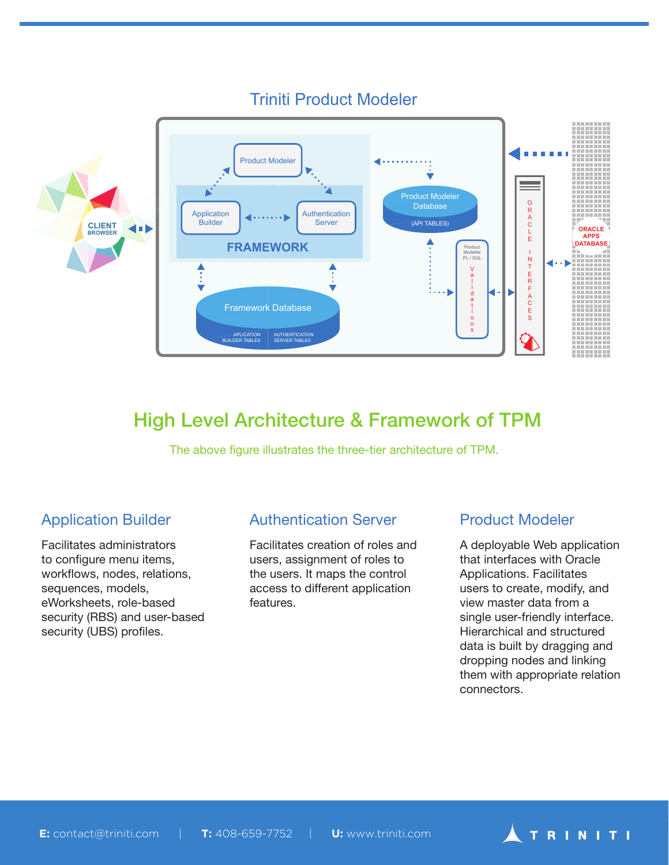

## Triniti Product Modeler

# High Level Architecture & Framework of TPM

The above figure illustrates the three-tier architecture of TPM.

### Application Builder

Facilitates administrators to configure menu items, workflows, nodes, relations, sequences, models, eWorksheets, role-based security (RBS) and user-based security (UBS) profiles.

### Authentication Server

Facilitates creation of roles and users, assignment of roles to the users. It maps the control access to different application features.

## Product Modeler

A deployable Web application that interfaces with Oracle Applications. Facilitates users to create, modify, and view master data from a single user-friendly interface. Hierarchical and structured data is built by dragging and dropping nodes and linking them with appropriate relation connectors.

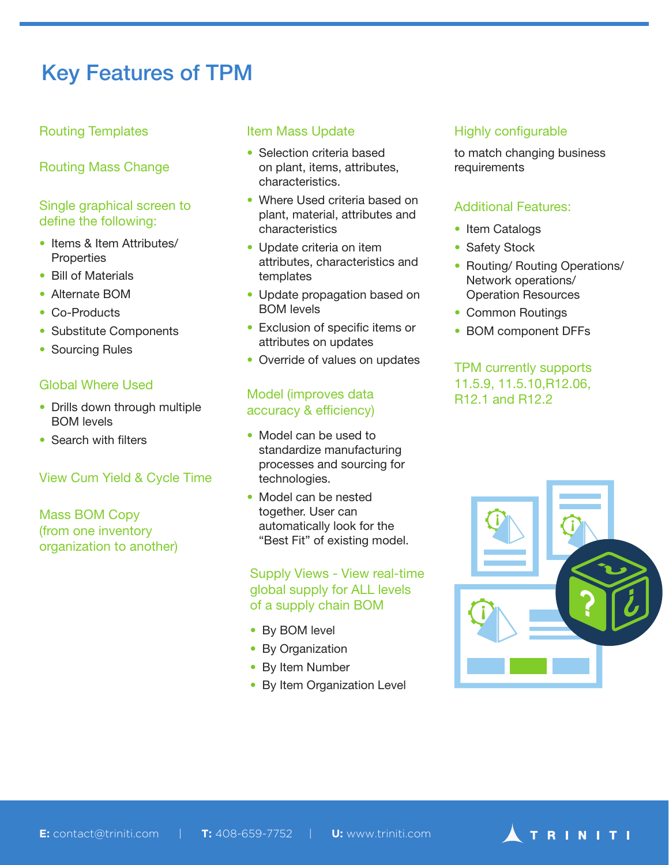# Key Features of TPM

### Routing Templates

Routing Mass Change

### Single graphical screen to define the following:

- Items & Item Attributes/ **Properties**
- Bill of Materials
- Alternate BOM
- Co-Products
- Substitute Components
- Sourcing Rules

#### Global Where Used

- Drills down through multiple BOM levels
- Search with filters

#### View Cum Yield & Cycle Time

Mass BOM Copy (from one inventory organization to another)

#### Item Mass Update

- Selection criteria based on plant, items, attributes, characteristics.
- Where Used criteria based on plant, material, attributes and characteristics
- Update criteria on item attributes, characteristics and templates
- Update propagation based on BOM levels
- Exclusion of specific items or attributes on updates
- Override of values on updates

#### Model (improves data accuracy & efficiency)

- Model can be used to standardize manufacturing processes and sourcing for technologies.
- Model can be nested together. User can automatically look for the "Best Fit" of existing model.

#### Supply Views - View real-time global supply for ALL levels of a supply chain BOM

- By BOM level
- By Organization
- By Item Number
- By Item Organization Level

### Highly configurable

to match changing business requirements

#### Additional Features:

- Item Catalogs
- Safety Stock
- Routing/ Routing Operations/ Network operations/ Operation Resources
- Common Routings
- BOM component DFFs

### TPM currently supports 11.5.9, 11.5.10,R12.06, R12.1 and R12.2

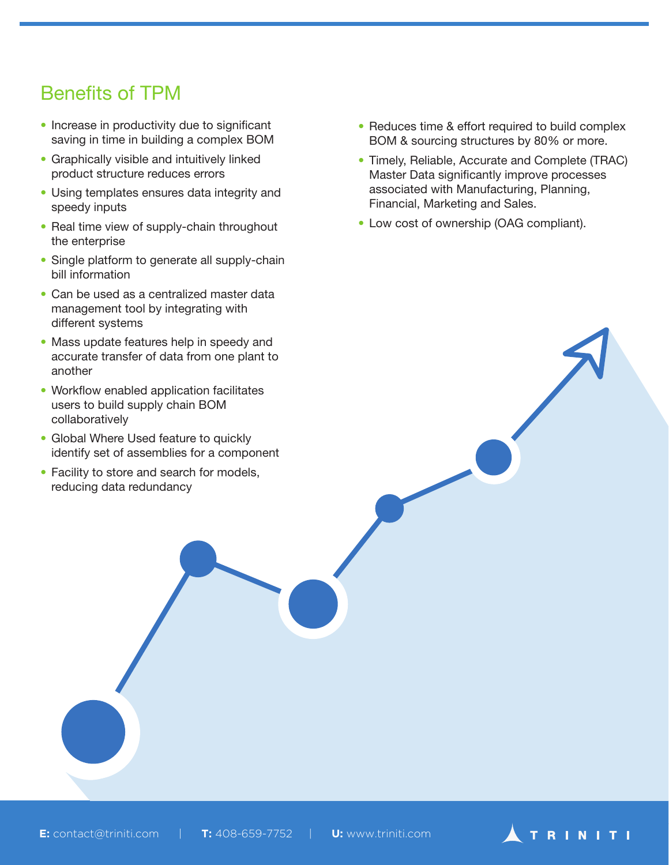# Benefits of TPM

- Increase in productivity due to significant saving in time in building a complex BOM
- Graphically visible and intuitively linked product structure reduces errors
- Using templates ensures data integrity and speedy inputs
- Real time view of supply-chain throughout the enterprise
- Single platform to generate all supply-chain bill information
- Can be used as a centralized master data management tool by integrating with different systems
- Mass update features help in speedy and accurate transfer of data from one plant to another
- Workflow enabled application facilitates users to build supply chain BOM collaboratively
- Global Where Used feature to quickly identify set of assemblies for a component
- Facility to store and search for models, reducing data redundancy
- Reduces time & effort required to build complex BOM & sourcing structures by 80% or more.
- Timely, Reliable, Accurate and Complete (TRAC) Master Data significantly improve processes associated with Manufacturing, Planning, Financial, Marketing and Sales.
- Low cost of ownership (OAG compliant).